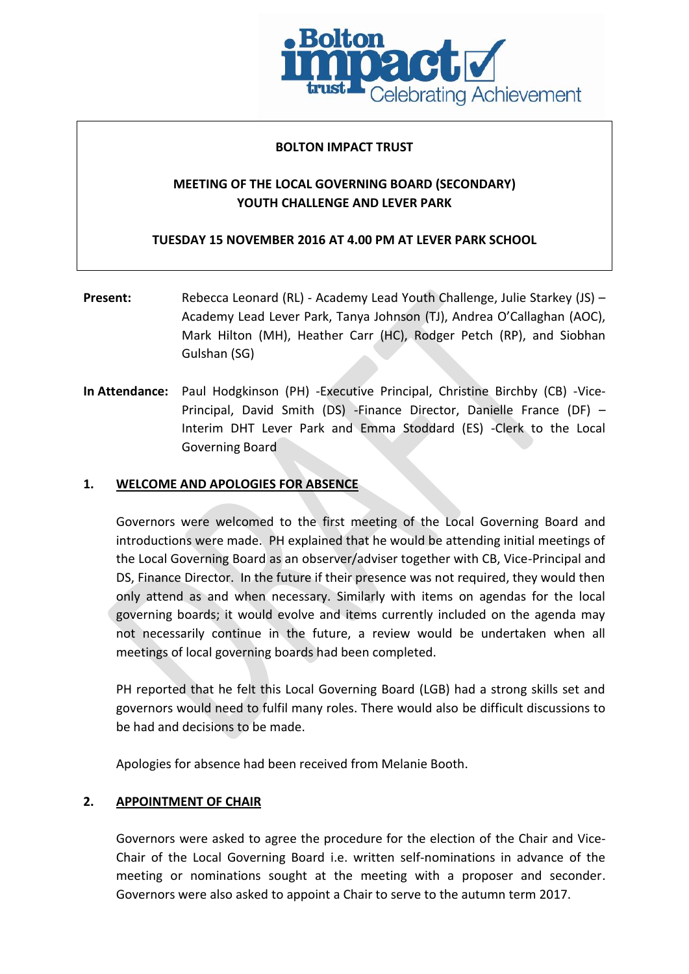

### **BOLTON IMPACT TRUST**

# **MEETING OF THE LOCAL GOVERNING BOARD (SECONDARY) YOUTH CHALLENGE AND LEVER PARK**

**TUESDAY 15 NOVEMBER 2016 AT 4.00 PM AT LEVER PARK SCHOOL**

- **Present:** Rebecca Leonard (RL) Academy Lead Youth Challenge, Julie Starkey (JS) Academy Lead Lever Park, Tanya Johnson (TJ), Andrea O'Callaghan (AOC), Mark Hilton (MH), Heather Carr (HC), Rodger Petch (RP), and Siobhan Gulshan (SG)
- **In Attendance:** Paul Hodgkinson (PH) -Executive Principal, Christine Birchby (CB) -Vice-Principal, David Smith (DS) -Finance Director, Danielle France (DF) – Interim DHT Lever Park and Emma Stoddard (ES) -Clerk to the Local Governing Board

### **1. WELCOME AND APOLOGIES FOR ABSENCE**

Governors were welcomed to the first meeting of the Local Governing Board and introductions were made. PH explained that he would be attending initial meetings of the Local Governing Board as an observer/adviser together with CB, Vice-Principal and DS, Finance Director. In the future if their presence was not required, they would then only attend as and when necessary. Similarly with items on agendas for the local governing boards; it would evolve and items currently included on the agenda may not necessarily continue in the future, a review would be undertaken when all meetings of local governing boards had been completed.

PH reported that he felt this Local Governing Board (LGB) had a strong skills set and governors would need to fulfil many roles. There would also be difficult discussions to be had and decisions to be made.

Apologies for absence had been received from Melanie Booth.

### **2. APPOINTMENT OF CHAIR**

Governors were asked to agree the procedure for the election of the Chair and Vice-Chair of the Local Governing Board i.e. written self-nominations in advance of the meeting or nominations sought at the meeting with a proposer and seconder. Governors were also asked to appoint a Chair to serve to the autumn term 2017.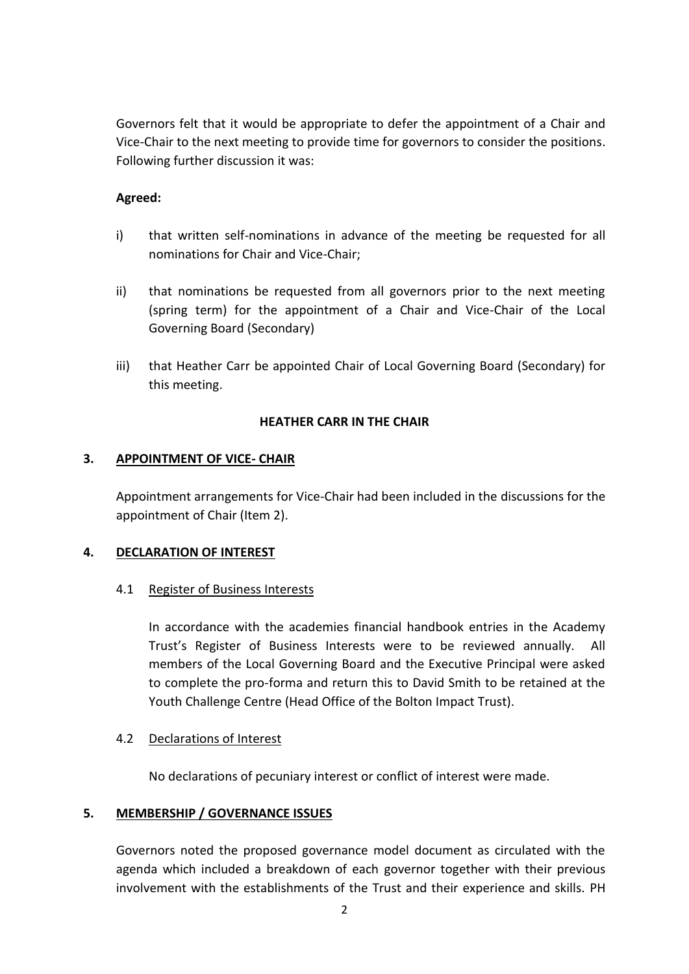Governors felt that it would be appropriate to defer the appointment of a Chair and Vice-Chair to the next meeting to provide time for governors to consider the positions. Following further discussion it was:

## **Agreed:**

- i) that written self-nominations in advance of the meeting be requested for all nominations for Chair and Vice-Chair;
- ii) that nominations be requested from all governors prior to the next meeting (spring term) for the appointment of a Chair and Vice-Chair of the Local Governing Board (Secondary)
- iii) that Heather Carr be appointed Chair of Local Governing Board (Secondary) for this meeting.

## **HEATHER CARR IN THE CHAIR**

# **3. APPOINTMENT OF VICE- CHAIR**

Appointment arrangements for Vice-Chair had been included in the discussions for the appointment of Chair (Item 2).

## **4. DECLARATION OF INTEREST**

## 4.1 Register of Business Interests

In accordance with the academies financial handbook entries in the Academy Trust's Register of Business Interests were to be reviewed annually. All members of the Local Governing Board and the Executive Principal were asked to complete the pro-forma and return this to David Smith to be retained at the Youth Challenge Centre (Head Office of the Bolton Impact Trust).

## 4.2 Declarations of Interest

No declarations of pecuniary interest or conflict of interest were made.

## **5. MEMBERSHIP / GOVERNANCE ISSUES**

Governors noted the proposed governance model document as circulated with the agenda which included a breakdown of each governor together with their previous involvement with the establishments of the Trust and their experience and skills. PH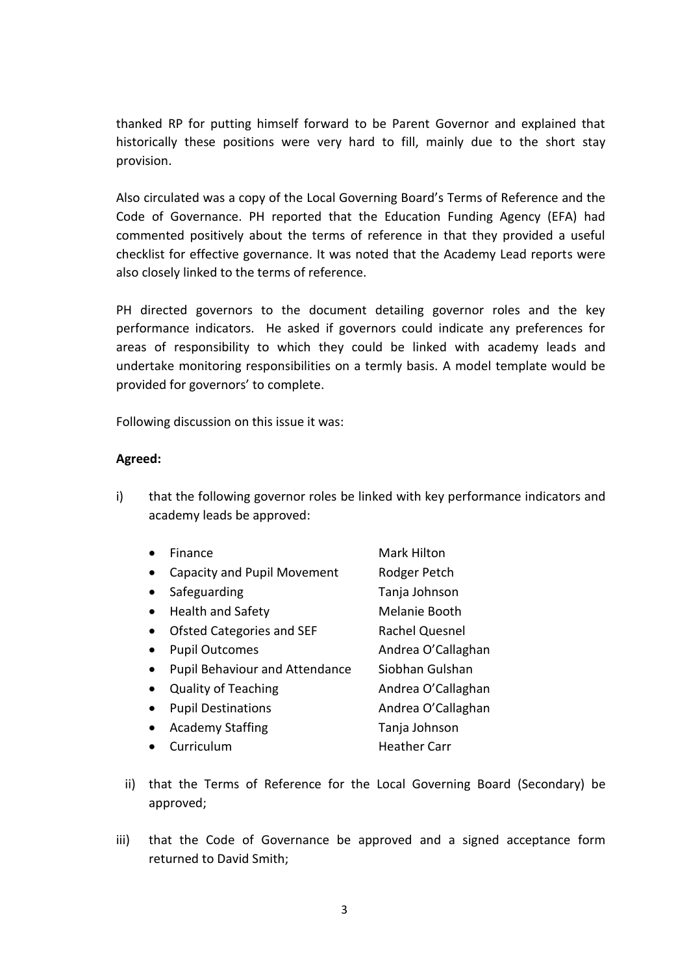thanked RP for putting himself forward to be Parent Governor and explained that historically these positions were very hard to fill, mainly due to the short stay provision.

Also circulated was a copy of the Local Governing Board's Terms of Reference and the Code of Governance. PH reported that the Education Funding Agency (EFA) had commented positively about the terms of reference in that they provided a useful checklist for effective governance. It was noted that the Academy Lead reports were also closely linked to the terms of reference.

PH directed governors to the document detailing governor roles and the key performance indicators. He asked if governors could indicate any preferences for areas of responsibility to which they could be linked with academy leads and undertake monitoring responsibilities on a termly basis. A model template would be provided for governors' to complete.

Following discussion on this issue it was:

### **Agreed:**

i) that the following governor roles be linked with key performance indicators and academy leads be approved:

| Finance                               | <b>Mark Hilton</b>    |
|---------------------------------------|-----------------------|
| <b>Capacity and Pupil Movement</b>    | Rodger Petch          |
| Safeguarding                          | Tanja Johnson         |
| <b>Health and Safety</b>              | Melanie Booth         |
| Ofsted Categories and SEF             | <b>Rachel Quesnel</b> |
| <b>Pupil Outcomes</b>                 | Andrea O'Callaghan    |
| <b>Pupil Behaviour and Attendance</b> | Siobhan Gulshan       |
| <b>Quality of Teaching</b>            | Andrea O'Callaghan    |
| <b>Pupil Destinations</b>             | Andrea O'Callaghan    |
| <b>Academy Staffing</b>               | Tanja Johnson         |
| Curriculum                            | <b>Heather Carr</b>   |

- ii) that the Terms of Reference for the Local Governing Board (Secondary) be approved;
- iii) that the Code of Governance be approved and a signed acceptance form returned to David Smith;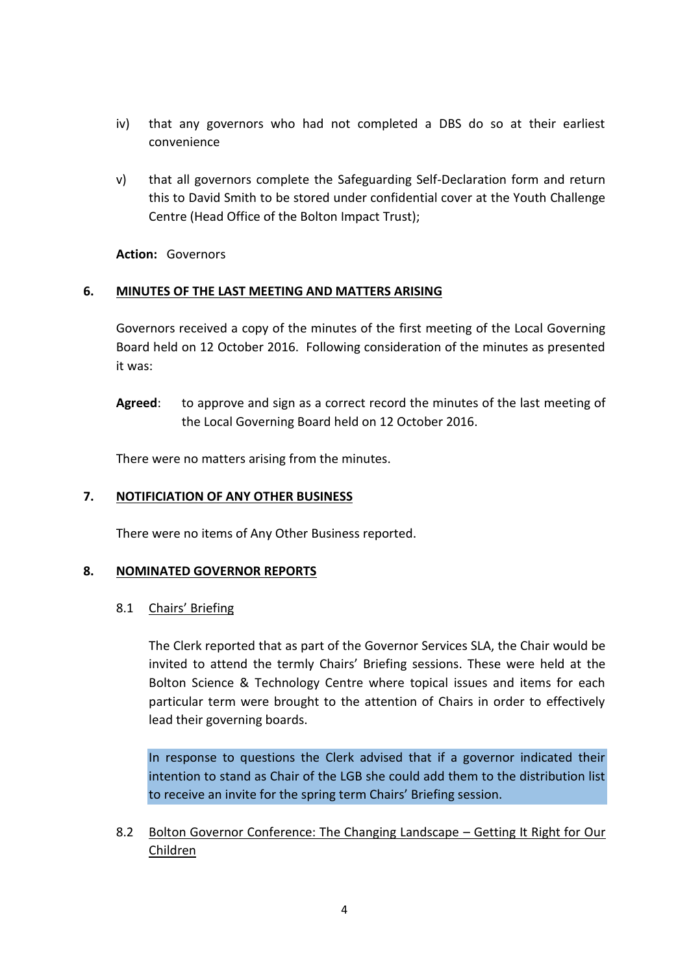- iv) that any governors who had not completed a DBS do so at their earliest convenience
- v) that all governors complete the Safeguarding Self-Declaration form and return this to David Smith to be stored under confidential cover at the Youth Challenge Centre (Head Office of the Bolton Impact Trust);

**Action:** Governors

### **6. MINUTES OF THE LAST MEETING AND MATTERS ARISING**

Governors received a copy of the minutes of the first meeting of the Local Governing Board held on 12 October 2016. Following consideration of the minutes as presented it was:

**Agreed**: to approve and sign as a correct record the minutes of the last meeting of the Local Governing Board held on 12 October 2016.

There were no matters arising from the minutes.

### **7. NOTIFICIATION OF ANY OTHER BUSINESS**

There were no items of Any Other Business reported.

### **8. NOMINATED GOVERNOR REPORTS**

8.1 Chairs' Briefing

The Clerk reported that as part of the Governor Services SLA, the Chair would be invited to attend the termly Chairs' Briefing sessions. These were held at the Bolton Science & Technology Centre where topical issues and items for each particular term were brought to the attention of Chairs in order to effectively lead their governing boards.

In response to questions the Clerk advised that if a governor indicated their intention to stand as Chair of the LGB she could add them to the distribution list to receive an invite for the spring term Chairs' Briefing session.

8.2 Bolton Governor Conference: The Changing Landscape – Getting It Right for Our Children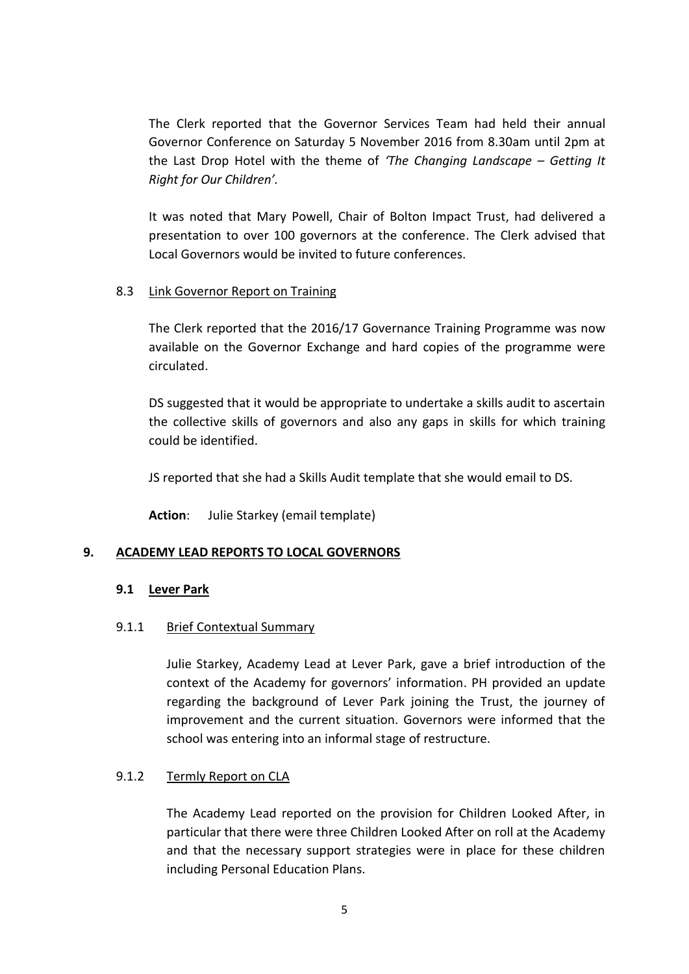The Clerk reported that the Governor Services Team had held their annual Governor Conference on Saturday 5 November 2016 from 8.30am until 2pm at the Last Drop Hotel with the theme of *'The Changing Landscape – Getting It Right for Our Children'.*

It was noted that Mary Powell, Chair of Bolton Impact Trust, had delivered a presentation to over 100 governors at the conference. The Clerk advised that Local Governors would be invited to future conferences.

### 8.3 Link Governor Report on Training

The Clerk reported that the 2016/17 Governance Training Programme was now available on the Governor Exchange and hard copies of the programme were circulated.

DS suggested that it would be appropriate to undertake a skills audit to ascertain the collective skills of governors and also any gaps in skills for which training could be identified.

JS reported that she had a Skills Audit template that she would email to DS.

**Action**: Julie Starkey (email template)

## **9. ACADEMY LEAD REPORTS TO LOCAL GOVERNORS**

### **9.1 Lever Park**

### 9.1.1 Brief Contextual Summary

Julie Starkey, Academy Lead at Lever Park, gave a brief introduction of the context of the Academy for governors' information. PH provided an update regarding the background of Lever Park joining the Trust, the journey of improvement and the current situation. Governors were informed that the school was entering into an informal stage of restructure.

### 9.1.2 Termly Report on CLA

The Academy Lead reported on the provision for Children Looked After, in particular that there were three Children Looked After on roll at the Academy and that the necessary support strategies were in place for these children including Personal Education Plans.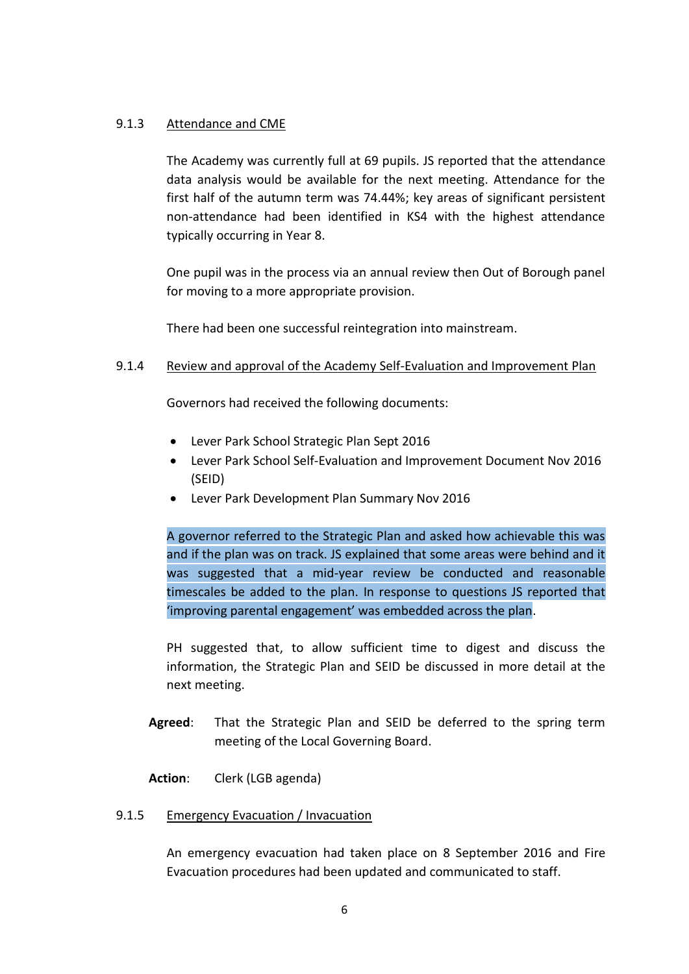### 9.1.3 Attendance and CME

The Academy was currently full at 69 pupils. JS reported that the attendance data analysis would be available for the next meeting. Attendance for the first half of the autumn term was 74.44%; key areas of significant persistent non-attendance had been identified in KS4 with the highest attendance typically occurring in Year 8.

One pupil was in the process via an annual review then Out of Borough panel for moving to a more appropriate provision.

There had been one successful reintegration into mainstream.

## 9.1.4 Review and approval of the Academy Self-Evaluation and Improvement Plan

Governors had received the following documents:

- Lever Park School Strategic Plan Sept 2016
- Lever Park School Self-Evaluation and Improvement Document Nov 2016 (SEID)
- Lever Park Development Plan Summary Nov 2016

A governor referred to the Strategic Plan and asked how achievable this was and if the plan was on track. JS explained that some areas were behind and it was suggested that a mid-year review be conducted and reasonable timescales be added to the plan. In response to questions JS reported that 'improving parental engagement' was embedded across the plan.

PH suggested that, to allow sufficient time to digest and discuss the information, the Strategic Plan and SEID be discussed in more detail at the next meeting.

- **Agreed**: That the Strategic Plan and SEID be deferred to the spring term meeting of the Local Governing Board.
- **Action**: Clerk (LGB agenda)

## 9.1.5 Emergency Evacuation / Invacuation

An emergency evacuation had taken place on 8 September 2016 and Fire Evacuation procedures had been updated and communicated to staff.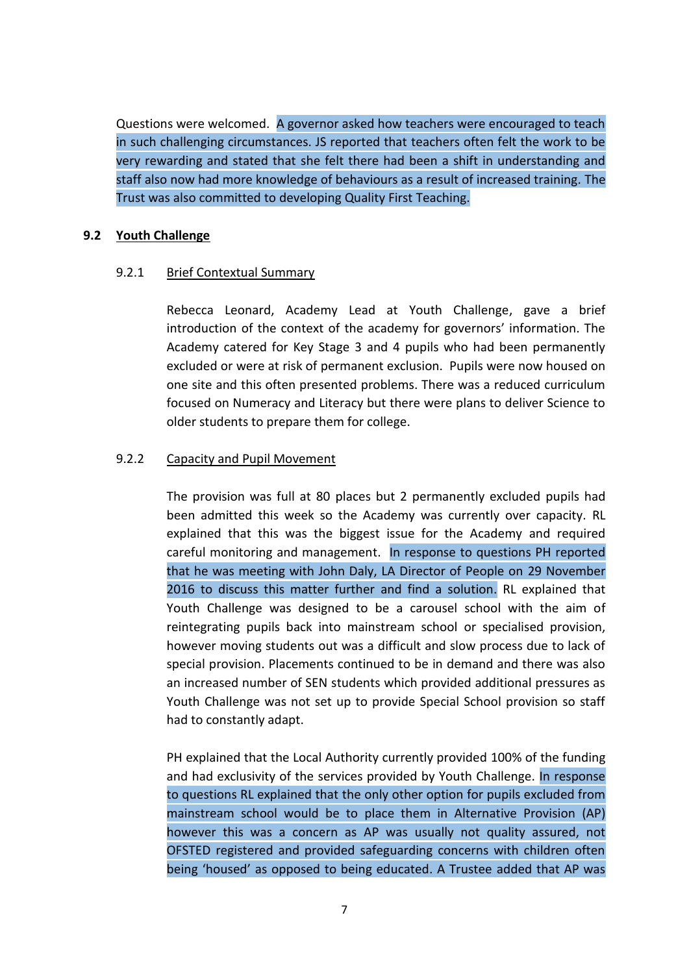Questions were welcomed. A governor asked how teachers were encouraged to teach in such challenging circumstances. JS reported that teachers often felt the work to be very rewarding and stated that she felt there had been a shift in understanding and staff also now had more knowledge of behaviours as a result of increased training. The Trust was also committed to developing Quality First Teaching.

### **9.2 Youth Challenge**

### 9.2.1 Brief Contextual Summary

Rebecca Leonard, Academy Lead at Youth Challenge, gave a brief introduction of the context of the academy for governors' information. The Academy catered for Key Stage 3 and 4 pupils who had been permanently excluded or were at risk of permanent exclusion. Pupils were now housed on one site and this often presented problems. There was a reduced curriculum focused on Numeracy and Literacy but there were plans to deliver Science to older students to prepare them for college.

## 9.2.2 Capacity and Pupil Movement

The provision was full at 80 places but 2 permanently excluded pupils had been admitted this week so the Academy was currently over capacity. RL explained that this was the biggest issue for the Academy and required careful monitoring and management. In response to questions PH reported that he was meeting with John Daly, LA Director of People on 29 November 2016 to discuss this matter further and find a solution. RL explained that Youth Challenge was designed to be a carousel school with the aim of reintegrating pupils back into mainstream school or specialised provision, however moving students out was a difficult and slow process due to lack of special provision. Placements continued to be in demand and there was also an increased number of SEN students which provided additional pressures as Youth Challenge was not set up to provide Special School provision so staff had to constantly adapt.

PH explained that the Local Authority currently provided 100% of the funding and had exclusivity of the services provided by Youth Challenge. In response to questions RL explained that the only other option for pupils excluded from mainstream school would be to place them in Alternative Provision (AP) however this was a concern as AP was usually not quality assured, not OFSTED registered and provided safeguarding concerns with children often being 'housed' as opposed to being educated. A Trustee added that AP was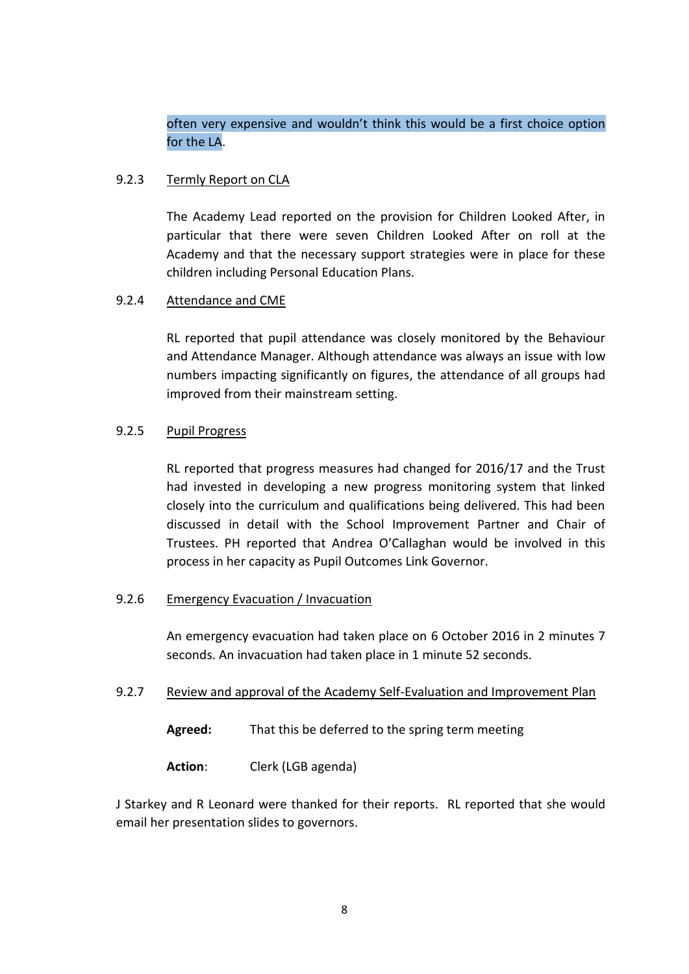# often very expensive and wouldn't think this would be a first choice option for the LA.

### 9.2.3 Termly Report on CLA

The Academy Lead reported on the provision for Children Looked After, in particular that there were seven Children Looked After on roll at the Academy and that the necessary support strategies were in place for these children including Personal Education Plans.

### 9.2.4 Attendance and CME

RL reported that pupil attendance was closely monitored by the Behaviour and Attendance Manager. Although attendance was always an issue with low numbers impacting significantly on figures, the attendance of all groups had improved from their mainstream setting.

### 9.2.5 Pupil Progress

RL reported that progress measures had changed for 2016/17 and the Trust had invested in developing a new progress monitoring system that linked closely into the curriculum and qualifications being delivered. This had been discussed in detail with the School Improvement Partner and Chair of Trustees. PH reported that Andrea O'Callaghan would be involved in this process in her capacity as Pupil Outcomes Link Governor.

### 9.2.6 Emergency Evacuation / Invacuation

An emergency evacuation had taken place on 6 October 2016 in 2 minutes 7 seconds. An invacuation had taken place in 1 minute 52 seconds.

### 9.2.7 Review and approval of the Academy Self-Evaluation and Improvement Plan

**Agreed:** That this be deferred to the spring term meeting

**Action**: Clerk (LGB agenda)

J Starkey and R Leonard were thanked for their reports. RL reported that she would email her presentation slides to governors.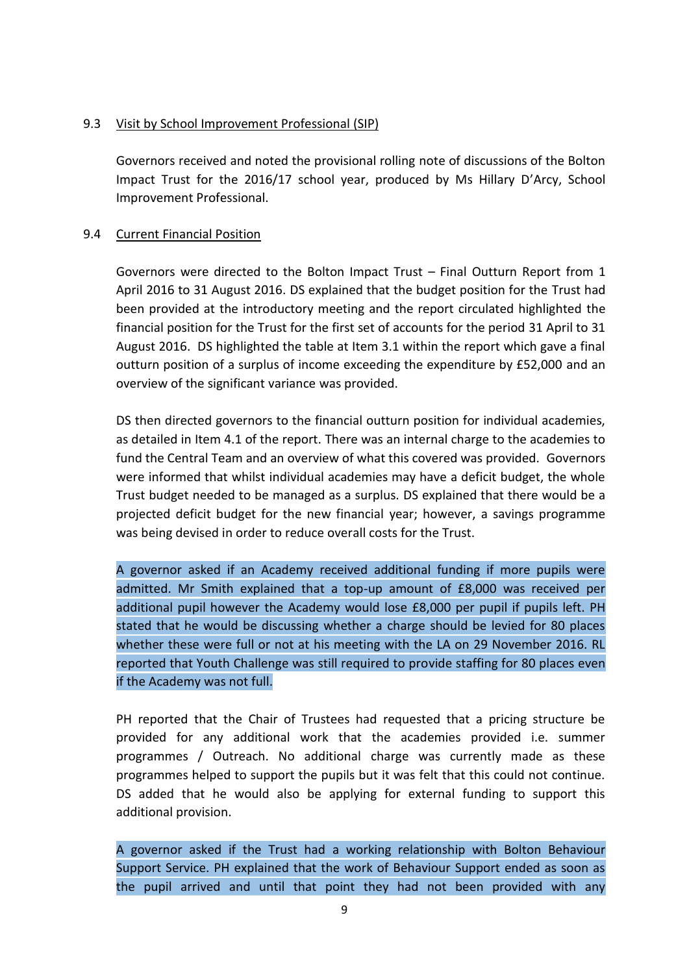### 9.3 Visit by School Improvement Professional (SIP)

Governors received and noted the provisional rolling note of discussions of the Bolton Impact Trust for the 2016/17 school year, produced by Ms Hillary D'Arcy, School Improvement Professional.

### 9.4 Current Financial Position

Governors were directed to the Bolton Impact Trust – Final Outturn Report from 1 April 2016 to 31 August 2016. DS explained that the budget position for the Trust had been provided at the introductory meeting and the report circulated highlighted the financial position for the Trust for the first set of accounts for the period 31 April to 31 August 2016. DS highlighted the table at Item 3.1 within the report which gave a final outturn position of a surplus of income exceeding the expenditure by £52,000 and an overview of the significant variance was provided.

DS then directed governors to the financial outturn position for individual academies, as detailed in Item 4.1 of the report. There was an internal charge to the academies to fund the Central Team and an overview of what this covered was provided. Governors were informed that whilst individual academies may have a deficit budget, the whole Trust budget needed to be managed as a surplus. DS explained that there would be a projected deficit budget for the new financial year; however, a savings programme was being devised in order to reduce overall costs for the Trust.

A governor asked if an Academy received additional funding if more pupils were admitted. Mr Smith explained that a top-up amount of £8,000 was received per additional pupil however the Academy would lose £8,000 per pupil if pupils left. PH stated that he would be discussing whether a charge should be levied for 80 places whether these were full or not at his meeting with the LA on 29 November 2016. RL reported that Youth Challenge was still required to provide staffing for 80 places even if the Academy was not full.

PH reported that the Chair of Trustees had requested that a pricing structure be provided for any additional work that the academies provided i.e. summer programmes / Outreach. No additional charge was currently made as these programmes helped to support the pupils but it was felt that this could not continue. DS added that he would also be applying for external funding to support this additional provision.

A governor asked if the Trust had a working relationship with Bolton Behaviour Support Service. PH explained that the work of Behaviour Support ended as soon as the pupil arrived and until that point they had not been provided with any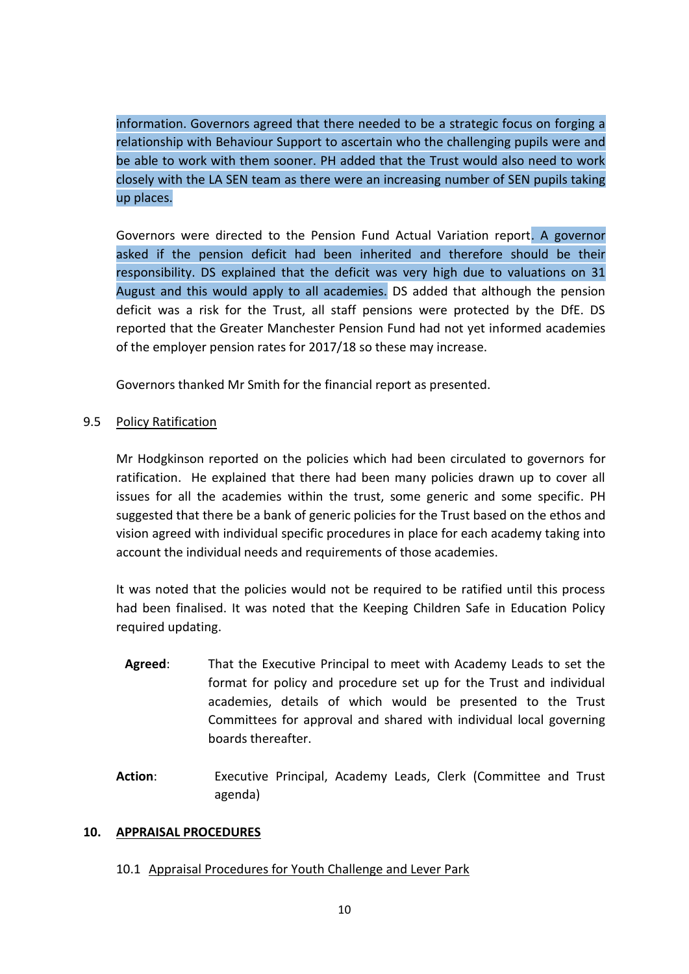information. Governors agreed that there needed to be a strategic focus on forging a relationship with Behaviour Support to ascertain who the challenging pupils were and be able to work with them sooner. PH added that the Trust would also need to work closely with the LA SEN team as there were an increasing number of SEN pupils taking up places.

Governors were directed to the Pension Fund Actual Variation report. A governor asked if the pension deficit had been inherited and therefore should be their responsibility. DS explained that the deficit was very high due to valuations on 31 August and this would apply to all academies. DS added that although the pension deficit was a risk for the Trust, all staff pensions were protected by the DfE. DS reported that the Greater Manchester Pension Fund had not yet informed academies of the employer pension rates for 2017/18 so these may increase.

Governors thanked Mr Smith for the financial report as presented.

### 9.5 Policy Ratification

Mr Hodgkinson reported on the policies which had been circulated to governors for ratification. He explained that there had been many policies drawn up to cover all issues for all the academies within the trust, some generic and some specific. PH suggested that there be a bank of generic policies for the Trust based on the ethos and vision agreed with individual specific procedures in place for each academy taking into account the individual needs and requirements of those academies.

It was noted that the policies would not be required to be ratified until this process had been finalised. It was noted that the Keeping Children Safe in Education Policy required updating.

- **Agreed**: That the Executive Principal to meet with Academy Leads to set the format for policy and procedure set up for the Trust and individual academies, details of which would be presented to the Trust Committees for approval and shared with individual local governing boards thereafter.
- Action: Executive Principal, Academy Leads, Clerk (Committee and Trust agenda)

### **10. APPRAISAL PROCEDURES**

## 10.1 Appraisal Procedures for Youth Challenge and Lever Park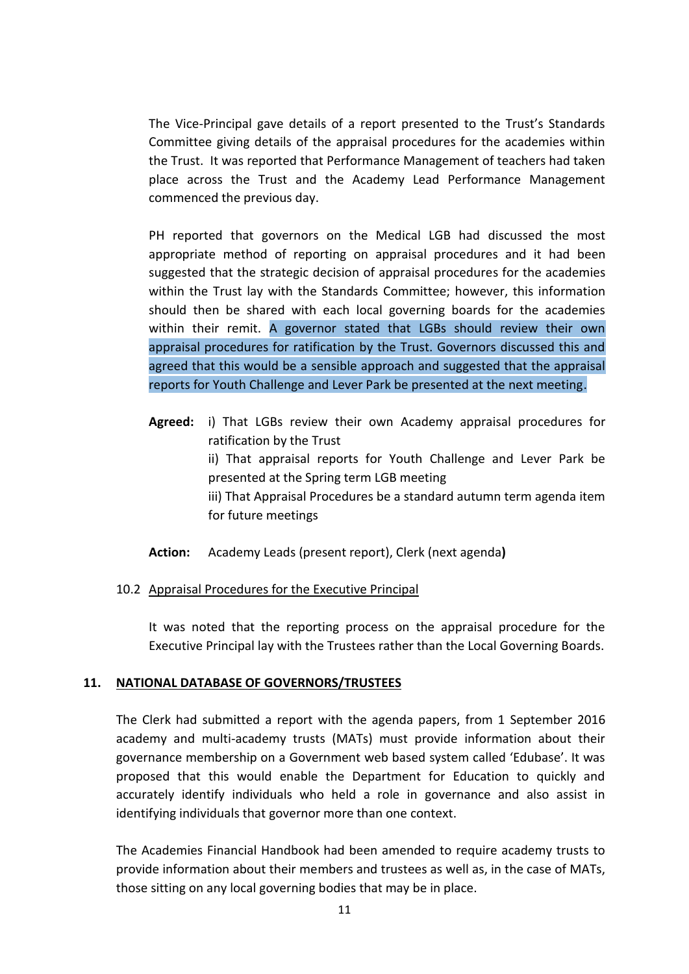The Vice-Principal gave details of a report presented to the Trust's Standards Committee giving details of the appraisal procedures for the academies within the Trust. It was reported that Performance Management of teachers had taken place across the Trust and the Academy Lead Performance Management commenced the previous day.

PH reported that governors on the Medical LGB had discussed the most appropriate method of reporting on appraisal procedures and it had been suggested that the strategic decision of appraisal procedures for the academies within the Trust lay with the Standards Committee; however, this information should then be shared with each local governing boards for the academies within their remit. A governor stated that LGBs should review their own appraisal procedures for ratification by the Trust. Governors discussed this and agreed that this would be a sensible approach and suggested that the appraisal reports for Youth Challenge and Lever Park be presented at the next meeting.

- **Agreed:** i) That LGBs review their own Academy appraisal procedures for ratification by the Trust ii) That appraisal reports for Youth Challenge and Lever Park be presented at the Spring term LGB meeting iii) That Appraisal Procedures be a standard autumn term agenda item for future meetings
- **Action:** Academy Leads (present report), Clerk (next agenda**)**

### 10.2 Appraisal Procedures for the Executive Principal

It was noted that the reporting process on the appraisal procedure for the Executive Principal lay with the Trustees rather than the Local Governing Boards.

### **11. NATIONAL DATABASE OF GOVERNORS/TRUSTEES**

The Clerk had submitted a report with the agenda papers, from 1 September 2016 academy and multi-academy trusts (MATs) must provide information about their governance membership on a Government web based system called 'Edubase'. It was proposed that this would enable the Department for Education to quickly and accurately identify individuals who held a role in governance and also assist in identifying individuals that governor more than one context.

The Academies Financial Handbook had been amended to require academy trusts to provide information about their members and trustees as well as, in the case of MATs, those sitting on any local governing bodies that may be in place.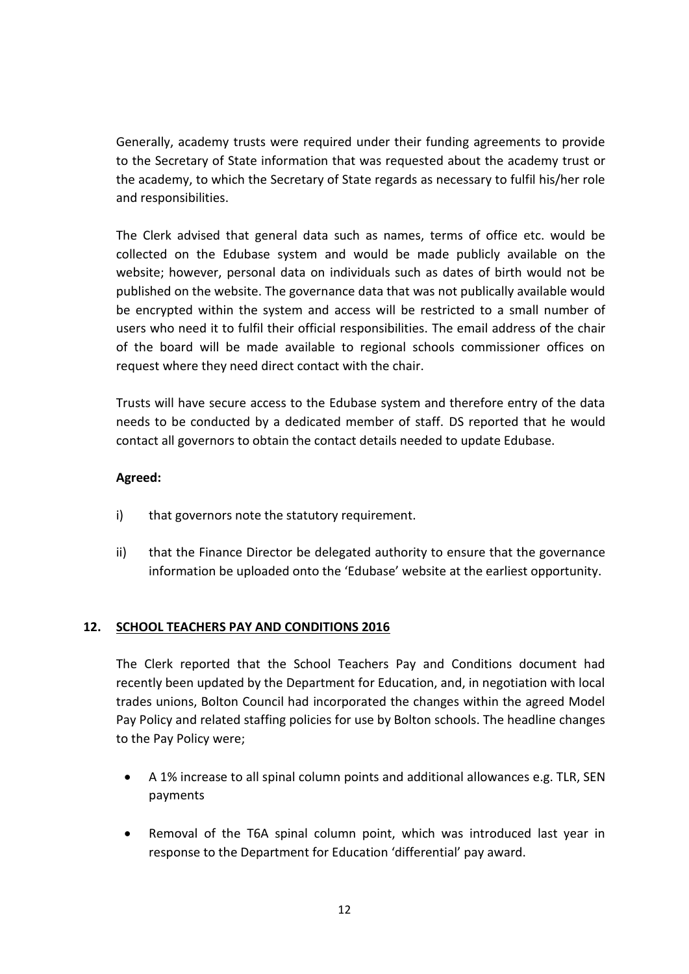Generally, academy trusts were required under their funding agreements to provide to the Secretary of State information that was requested about the academy trust or the academy, to which the Secretary of State regards as necessary to fulfil his/her role and responsibilities.

The Clerk advised that general data such as names, terms of office etc. would be collected on the Edubase system and would be made publicly available on the website; however, personal data on individuals such as dates of birth would not be published on the website. The governance data that was not publically available would be encrypted within the system and access will be restricted to a small number of users who need it to fulfil their official responsibilities. The email address of the chair of the board will be made available to regional schools commissioner offices on request where they need direct contact with the chair.

Trusts will have secure access to the Edubase system and therefore entry of the data needs to be conducted by a dedicated member of staff. DS reported that he would contact all governors to obtain the contact details needed to update Edubase.

## **Agreed:**

- i) that governors note the statutory requirement.
- ii) that the Finance Director be delegated authority to ensure that the governance information be uploaded onto the 'Edubase' website at the earliest opportunity.

## **12. SCHOOL TEACHERS PAY AND CONDITIONS 2016**

The Clerk reported that the School Teachers Pay and Conditions document had recently been updated by the Department for Education, and, in negotiation with local trades unions, Bolton Council had incorporated the changes within the agreed Model Pay Policy and related staffing policies for use by Bolton schools. The headline changes to the [Pay Policy](https://extranet.bolton.gov.uk/website/pages/view.aspx?f=Pay%20Policy-HR.docx) were;

- A 1% increase to all spinal column points and additional allowances e.g. TLR, SEN payments
- Removal of the T6A spinal column point, which was introduced last year in response to the Department for Education 'differential' pay award.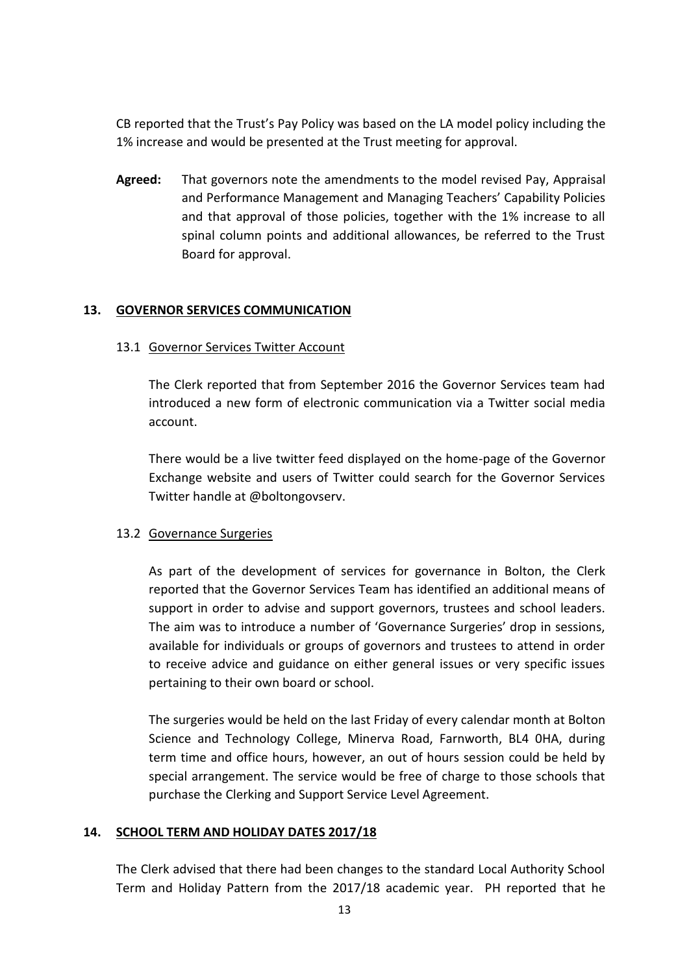CB reported that the Trust's Pay Policy was based on the LA model policy including the 1% increase and would be presented at the Trust meeting for approval.

**Agreed:** That governors note the amendments to the model revised Pay, [Appraisal](https://extranet.bolton.gov.uk/website/pages/view.aspx?f=Appraisal,%20Performance%20Management%20Policy-HR.docx)  [and Performance Management](https://extranet.bolton.gov.uk/website/pages/view.aspx?f=Appraisal,%20Performance%20Management%20Policy-HR.docx) and [Managing Teachers' Capability Policies](https://extranet.bolton.gov.uk/website/pages/view.aspx?f=Managing%20Teachers) and that approval of those policies, together with the 1% increase to all spinal column points and additional allowances, be referred to the Trust Board for approval.

### **13. GOVERNOR SERVICES COMMUNICATION**

### 13.1 Governor Services Twitter Account

The Clerk reported that from September 2016 the Governor Services team had introduced a new form of electronic communication via a Twitter social media account.

There would be a live twitter feed displayed on the home-page of the Governor Exchange website and users of Twitter could search for the Governor Services Twitter handle at @boltongovserv.

## 13.2 Governance Surgeries

As part of the development of services for governance in Bolton, the Clerk reported that the Governor Services Team has identified an additional means of support in order to advise and support governors, trustees and school leaders. The aim was to introduce a number of 'Governance Surgeries' drop in sessions, available for individuals or groups of governors and trustees to attend in order to receive advice and guidance on either general issues or very specific issues pertaining to their own board or school.

The surgeries would be held on the last Friday of every calendar month at Bolton Science and Technology College, Minerva Road, Farnworth, BL4 0HA, during term time and office hours, however, an out of hours session could be held by special arrangement. The service would be free of charge to those schools that purchase the Clerking and Support Service Level Agreement.

## **14. SCHOOL TERM AND HOLIDAY DATES 2017/18**

The Clerk advised that there had been changes to the standard Local Authority School Term and Holiday Pattern from the 2017/18 academic year. PH reported that he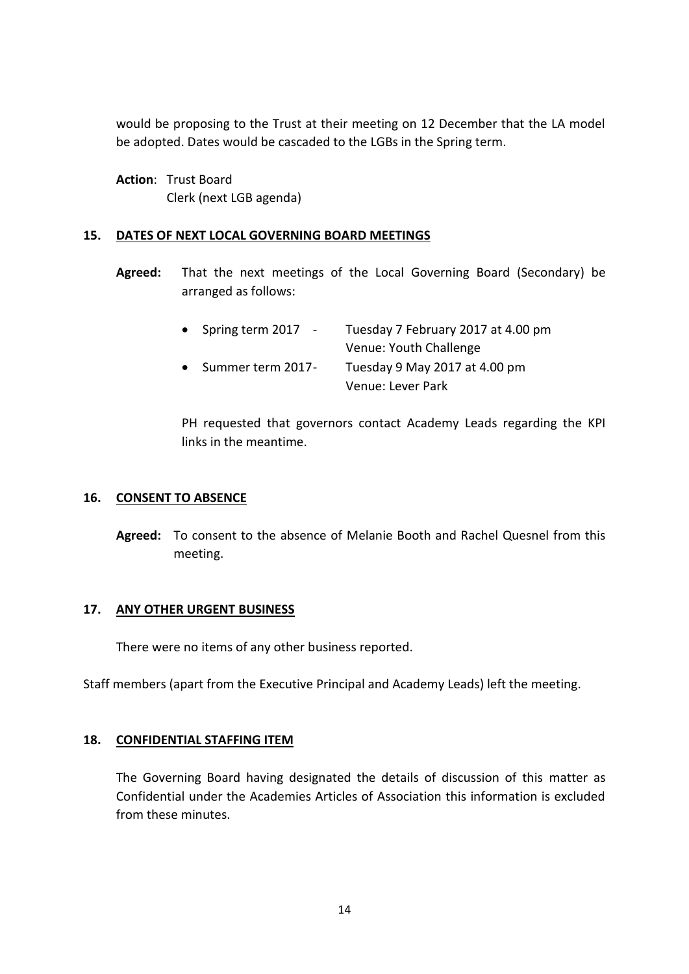would be proposing to the Trust at their meeting on 12 December that the LA model be adopted. Dates would be cascaded to the LGBs in the Spring term.

**Action**: Trust Board Clerk (next LGB agenda)

### **15. DATES OF NEXT LOCAL GOVERNING BOARD MEETINGS**

**Agreed:** That the next meetings of the Local Governing Board (Secondary) be arranged as follows:

| • Spring term $2017 -$ | Tuesday 7 February 2017 at 4.00 pm |
|------------------------|------------------------------------|
|                        | Venue: Youth Challenge             |
| • Summer term 2017-    | Tuesday 9 May 2017 at 4.00 pm      |
|                        | Venue: Lever Park                  |

PH requested that governors contact Academy Leads regarding the KPI links in the meantime.

### **16. CONSENT TO ABSENCE**

**Agreed:** To consent to the absence of Melanie Booth and Rachel Quesnel from this meeting.

### **17. ANY OTHER URGENT BUSINESS**

There were no items of any other business reported.

Staff members (apart from the Executive Principal and Academy Leads) left the meeting.

### **18. CONFIDENTIAL STAFFING ITEM**

The Governing Board having designated the details of discussion of this matter as Confidential under the Academies Articles of Association this information is excluded from these minutes.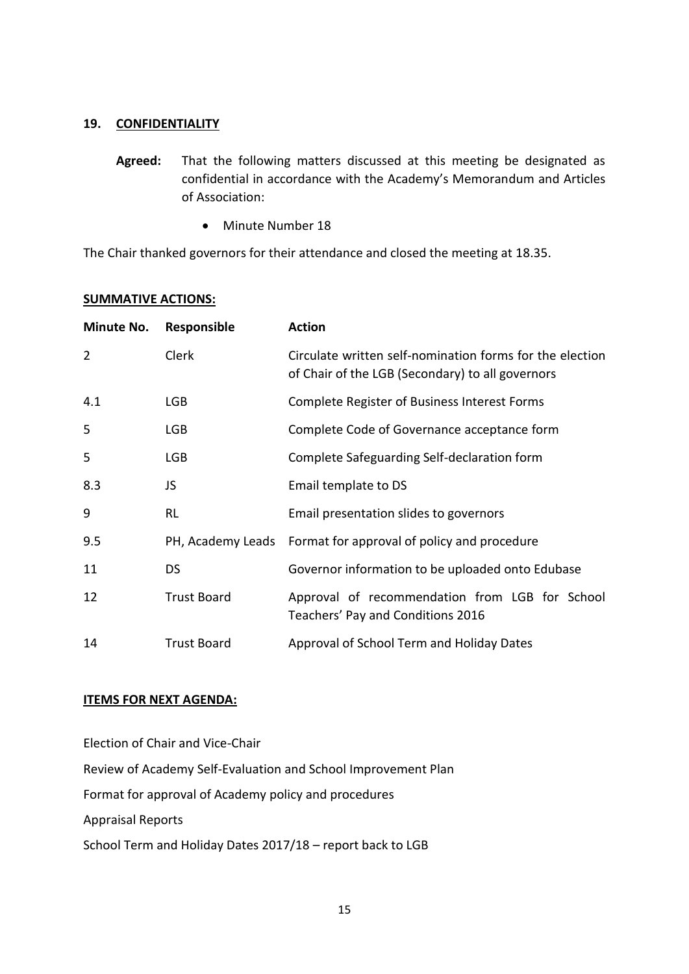### **19. CONFIDENTIALITY**

- **Agreed:** That the following matters discussed at this meeting be designated as confidential in accordance with the Academy's Memorandum and Articles of Association:
	- Minute Number 18

The Chair thanked governors for their attendance and closed the meeting at 18.35.

#### **SUMMATIVE ACTIONS:**

| Minute No.     | Responsible        | <b>Action</b>                                                                                                |
|----------------|--------------------|--------------------------------------------------------------------------------------------------------------|
| $\overline{2}$ | Clerk              | Circulate written self-nomination forms for the election<br>of Chair of the LGB (Secondary) to all governors |
| 4.1            | <b>LGB</b>         | Complete Register of Business Interest Forms                                                                 |
| 5              | <b>LGB</b>         | Complete Code of Governance acceptance form                                                                  |
| 5              | <b>LGB</b>         | Complete Safeguarding Self-declaration form                                                                  |
| 8.3            | JS                 | Email template to DS                                                                                         |
| 9              | <b>RL</b>          | Email presentation slides to governors                                                                       |
| 9.5            |                    | PH, Academy Leads Format for approval of policy and procedure                                                |
| 11             | <b>DS</b>          | Governor information to be uploaded onto Edubase                                                             |
| 12             | <b>Trust Board</b> | Approval of recommendation from LGB for School<br>Teachers' Pay and Conditions 2016                          |
| 14             | <b>Trust Board</b> | Approval of School Term and Holiday Dates                                                                    |

### **ITEMS FOR NEXT AGENDA:**

Election of Chair and Vice-Chair Review of Academy Self-Evaluation and School Improvement Plan Format for approval of Academy policy and procedures Appraisal Reports School Term and Holiday Dates 2017/18 – report back to LGB